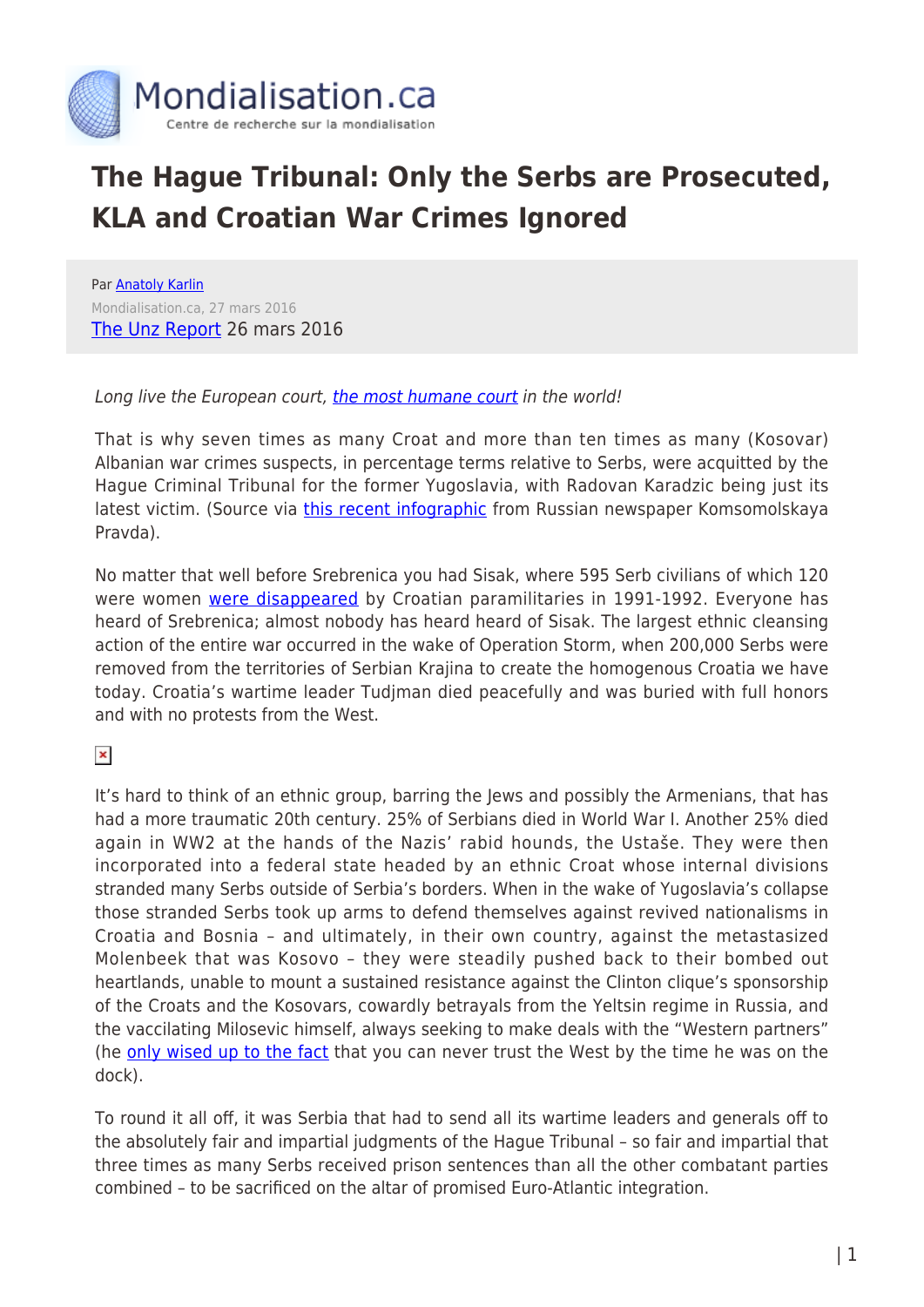

## **The Hague Tribunal: Only the Serbs are Prosecuted, KLA and Croatian War Crimes Ignored**

Par [Anatoly Karlin](https://www.mondialisation.ca/author/anatoly-karlin) Mondialisation.ca, 27 mars 2016 [The Unz Report](http://www.unz.com/akarlin/humane-hague/) 26 mars 2016

## Long live the European court, [the most humane court](https://books.google.com/books?id=o07R52B2sZwC&pg=PA100&lpg=PA100&dq=soviet+court+%22most+humane%22&source=bl&ots=en-AuP1vpq&sig=VdkruDu8S8oI7Ms5oP0Cl-I-qiA&hl=en&sa=X&ved=0ahUKEwjjz8Whwd3LAhVE0WMKHRA5CAMQ6AEIJzAC#v=onepage&q=soviet%20court%20%22most%20humane%22&f=false) in the world!

That is why seven times as many Croat and more than ten times as many (Kosovar) Albanian war crimes suspects, in percentage terms relative to Serbs, were acquitted by the Hague Criminal Tribunal for the former Yugoslavia, with Radovan Karadzic being just its latest victim. (Source via *[this recent infographic](http://www.kp.ru/daily/26509.7/3377970/)* from Russian newspaper Komsomolskaya Pravda).

No matter that well before Srebrenica you had Sisak, where 595 Serb civilians of which 120 were women [were disappeared](https://ru.wikipedia.org/wiki/%D0%9C%D0%B0%D1%81%D1%81%D0%BE%D0%B2%D1%8B%D0%B5_%D1%83%D0%B1%D0%B8%D0%B9%D1%81%D1%82%D0%B2%D0%B0_%D0%B2_%D0%A1%D0%B8%D1%81%D0%B0%D0%BA%D0%B5) by Croatian paramilitaries in 1991-1992. Everyone has heard of Srebrenica; almost nobody has heard heard of Sisak. The largest ethnic cleansing action of the entire war occurred in the wake of Operation Storm, when 200,000 Serbs were removed from the territories of Serbian Krajina to create the homogenous Croatia we have today. Croatia's wartime leader Tudjman died peacefully and was buried with full honors and with no protests from the West.

 $\pmb{\times}$ 

It's hard to think of an ethnic group, barring the Jews and possibly the Armenians, that has had a more traumatic 20th century. 25% of Serbians died in World War I. Another 25% died again in WW2 at the hands of the Nazis' rabid hounds, the Ustaše. They were then incorporated into a federal state headed by an ethnic Croat whose internal divisions stranded many Serbs outside of Serbia's borders. When in the wake of Yugoslavia's collapse those stranded Serbs took up arms to defend themselves against revived nationalisms in Croatia and Bosnia – and ultimately, in their own country, against the metastasized Molenbeek that was Kosovo – they were steadily pushed back to their bombed out heartlands, unable to mount a sustained resistance against the Clinton clique's sponsorship of the Croats and the Kosovars, cowardly betrayals from the Yeltsin regime in Russia, and the vaccilating Milosevic himself, always seeking to make deals with the "Western partners" (he [only wised up to the fact](http://www.oplot.info/content/poslednee-obrashchenie-slobodana-miloshevicha-k-slavyanam) that you can never trust the West by the time he was on the dock).

To round it all off, it was Serbia that had to send all its wartime leaders and generals off to the absolutely fair and impartial judgments of the Hague Tribunal – so fair and impartial that three times as many Serbs received prison sentences than all the other combatant parties combined – to be sacrificed on the altar of promised Euro-Atlantic integration.